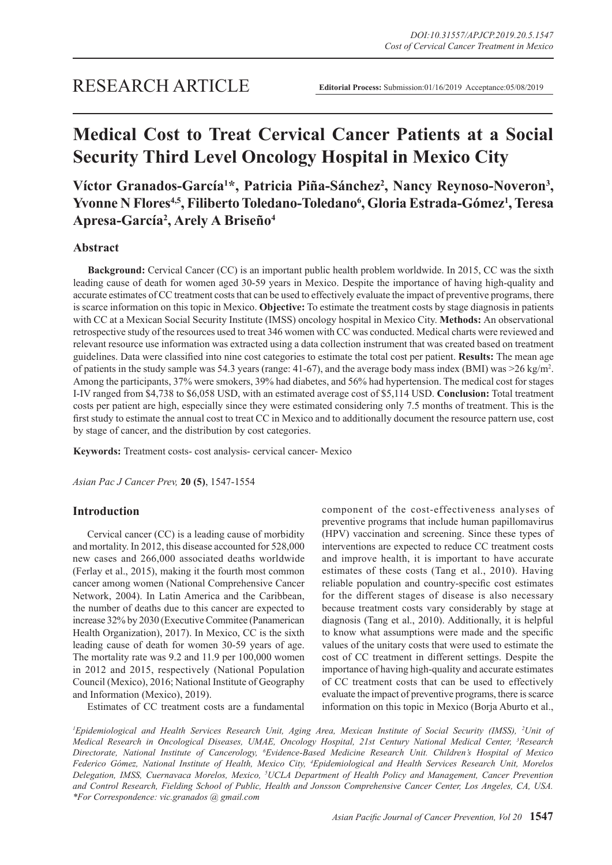# **Medical Cost to Treat Cervical Cancer Patients at a Social Security Third Level Oncology Hospital in Mexico City**

## Víctor Granados-García<sup>1\*</sup>, Patricia Piña-Sánchez<sup>2</sup>, Nancy Reynoso-Noveron<sup>3</sup>, **Yvonne N Flores4,5, Filiberto Toledano-Toledano6 , Gloria Estrada-Gómez1 , Teresa Apresa-García2 , Arely A Briseño4**

#### **Abstract**

**Background:** Cervical Cancer (CC) is an important public health problem worldwide. In 2015, CC was the sixth leading cause of death for women aged 30-59 years in Mexico. Despite the importance of having high-quality and accurate estimates of CC treatment costs that can be used to effectively evaluate the impact of preventive programs, there is scarce information on this topic in Mexico. **Objective:** To estimate the treatment costs by stage diagnosis in patients with CC at a Mexican Social Security Institute (IMSS) oncology hospital in Mexico City. **Methods:** An observational retrospective study of the resources used to treat 346 women with CC was conducted. Medical charts were reviewed and relevant resource use information was extracted using a data collection instrument that was created based on treatment guidelines. Data were classified into nine cost categories to estimate the total cost per patient. **Results:** The mean age of patients in the study sample was 54.3 years (range: 41-67), and the average body mass index (BMI) was >26 kg/m2 . Among the participants, 37% were smokers, 39% had diabetes, and 56% had hypertension. The medical cost for stages I-IV ranged from \$4,738 to \$6,058 USD, with an estimated average cost of \$5,114 USD. **Conclusion:** Total treatment costs per patient are high, especially since they were estimated considering only 7.5 months of treatment. This is the first study to estimate the annual cost to treat CC in Mexico and to additionally document the resource pattern use, cost by stage of cancer, and the distribution by cost categories.

**Keywords:** Treatment costs- cost analysis- cervical cancer- Mexico

*Asian Pac J Cancer Prev,* **20 (5)**, 1547-1554

#### **Introduction**

Cervical cancer (CC) is a leading cause of morbidity and mortality. In 2012, this disease accounted for 528,000 new cases and 266,000 associated deaths worldwide (Ferlay et al., 2015), making it the fourth most common cancer among women (National Comprehensive Cancer Network, 2004). In Latin America and the Caribbean, the number of deaths due to this cancer are expected to increase 32% by 2030 (Executive Commitee (Panamerican Health Organization), 2017). In Mexico, CC is the sixth leading cause of death for women 30-59 years of age. The mortality rate was 9.2 and 11.9 per 100,000 women in 2012 and 2015, respectively (National Population Council (Mexico), 2016; National Institute of Geography and Information (Mexico), 2019).

Estimates of CC treatment costs are a fundamental

component of the cost-effectiveness analyses of preventive programs that include human papillomavirus (HPV) vaccination and screening. Since these types of interventions are expected to reduce CC treatment costs and improve health, it is important to have accurate estimates of these costs (Tang et al., 2010). Having reliable population and country-specific cost estimates for the different stages of disease is also necessary because treatment costs vary considerably by stage at diagnosis (Tang et al., 2010). Additionally, it is helpful to know what assumptions were made and the specific values of the unitary costs that were used to estimate the cost of CC treatment in different settings. Despite the importance of having high-quality and accurate estimates of CC treatment costs that can be used to effectively evaluate the impact of preventive programs, there is scarce information on this topic in Mexico (Borja Aburto et al.,

<sup>*I*</sup> Epidemiological and Health Services Research Unit, Aging Area, Mexican Institute of Social Security (IMSS), <sup>2</sup>Unit of *Medical Research in Oncological Diseases, UMAE, Oncology Hospital, 21st Century National Medical Center, 3 Research Directorate, National Institute of Cancerology, 6 Evidence-Based Medicine Research Unit. Children's Hospital of Mexico Federico Gómez, National Institute of Health, Mexico City, 4 Epidemiological and Health Services Research Unit, Morelos Delegation, IMSS, Cuernavaca Morelos, Mexico, 5 UCLA Department of Health Policy and Management, Cancer Prevention and Control Research, Fielding School of Public, Health and Jonsson Comprehensive Cancer Center, Los Angeles, CA, USA. \*For Correspondence: vic.granados @ gmail.com*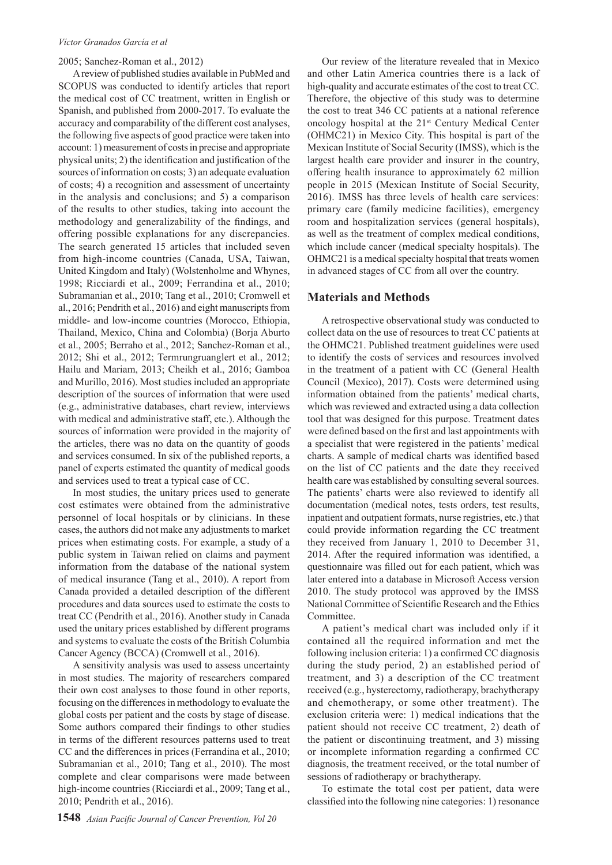#### 2005; Sanchez-Roman et al., 2012)

A review of published studies available in PubMed and SCOPUS was conducted to identify articles that report the medical cost of CC treatment, written in English or Spanish, and published from 2000-2017. To evaluate the accuracy and comparability of the different cost analyses, the following five aspects of good practice were taken into account: 1) measurement of costs in precise and appropriate physical units; 2) the identification and justification of the sources of information on costs; 3) an adequate evaluation of costs; 4) a recognition and assessment of uncertainty in the analysis and conclusions; and 5) a comparison of the results to other studies, taking into account the methodology and generalizability of the findings, and offering possible explanations for any discrepancies. The search generated 15 articles that included seven from high-income countries (Canada, USA, Taiwan, United Kingdom and Italy) (Wolstenholme and Whynes, 1998; Ricciardi et al., 2009; Ferrandina et al., 2010; Subramanian et al., 2010; Tang et al., 2010; Cromwell et al., 2016; Pendrith et al., 2016) and eight manuscripts from middle- and low-income countries (Morocco, Ethiopia, Thailand, Mexico, China and Colombia) (Borja Aburto et al., 2005; Berraho et al., 2012; Sanchez-Roman et al., 2012; Shi et al., 2012; Termrungruanglert et al., 2012; Hailu and Mariam, 2013; Cheikh et al., 2016; Gamboa and Murillo, 2016). Most studies included an appropriate description of the sources of information that were used (e.g., administrative databases, chart review, interviews with medical and administrative staff, etc.). Although the sources of information were provided in the majority of the articles, there was no data on the quantity of goods and services consumed. In six of the published reports, a panel of experts estimated the quantity of medical goods and services used to treat a typical case of CC.

In most studies, the unitary prices used to generate cost estimates were obtained from the administrative personnel of local hospitals or by clinicians. In these cases, the authors did not make any adjustments to market prices when estimating costs. For example, a study of a public system in Taiwan relied on claims and payment information from the database of the national system of medical insurance (Tang et al., 2010). A report from Canada provided a detailed description of the different procedures and data sources used to estimate the costs to treat CC (Pendrith et al., 2016). Another study in Canada used the unitary prices established by different programs and systems to evaluate the costs of the British Columbia Cancer Agency (BCCA) (Cromwell et al., 2016).

A sensitivity analysis was used to assess uncertainty in most studies. The majority of researchers compared their own cost analyses to those found in other reports, focusing on the differences in methodology to evaluate the global costs per patient and the costs by stage of disease. Some authors compared their findings to other studies in terms of the different resources patterns used to treat CC and the differences in prices (Ferrandina et al., 2010; Subramanian et al., 2010; Tang et al., 2010). The most complete and clear comparisons were made between high-income countries (Ricciardi et al., 2009; Tang et al., 2010; Pendrith et al., 2016).

Our review of the literature revealed that in Mexico and other Latin America countries there is a lack of high-quality and accurate estimates of the cost to treat CC. Therefore, the objective of this study was to determine the cost to treat 346 CC patients at a national reference oncology hospital at the 21st Century Medical Center (OHMC21) in Mexico City. This hospital is part of the Mexican Institute of Social Security (IMSS), which is the largest health care provider and insurer in the country, offering health insurance to approximately 62 million people in 2015 (Mexican Institute of Social Security, 2016). IMSS has three levels of health care services: primary care (family medicine facilities), emergency room and hospitalization services (general hospitals), as well as the treatment of complex medical conditions, which include cancer (medical specialty hospitals). The OHMC21 is a medical specialty hospital that treats women in advanced stages of CC from all over the country.

#### **Materials and Methods**

A retrospective observational study was conducted to collect data on the use of resources to treat CC patients at the OHMC21. Published treatment guidelines were used to identify the costs of services and resources involved in the treatment of a patient with CC (General Health Council (Mexico), 2017). Costs were determined using information obtained from the patients' medical charts, which was reviewed and extracted using a data collection tool that was designed for this purpose. Treatment dates were defined based on the first and last appointments with a specialist that were registered in the patients' medical charts. A sample of medical charts was identified based on the list of CC patients and the date they received health care was established by consulting several sources. The patients' charts were also reviewed to identify all documentation (medical notes, tests orders, test results, inpatient and outpatient formats, nurse registries, etc.) that could provide information regarding the CC treatment they received from January 1, 2010 to December 31, 2014. After the required information was identified, a questionnaire was filled out for each patient, which was later entered into a database in Microsoft Access version 2010. The study protocol was approved by the IMSS National Committee of Scientific Research and the Ethics Committee.

A patient's medical chart was included only if it contained all the required information and met the following inclusion criteria: 1) a confirmed CC diagnosis during the study period, 2) an established period of treatment, and 3) a description of the CC treatment received (e.g., hysterectomy, radiotherapy, brachytherapy and chemotherapy, or some other treatment). The exclusion criteria were: 1) medical indications that the patient should not receive CC treatment, 2) death of the patient or discontinuing treatment, and 3) missing or incomplete information regarding a confirmed CC diagnosis, the treatment received, or the total number of sessions of radiotherapy or brachytherapy.

To estimate the total cost per patient, data were classified into the following nine categories: 1) resonance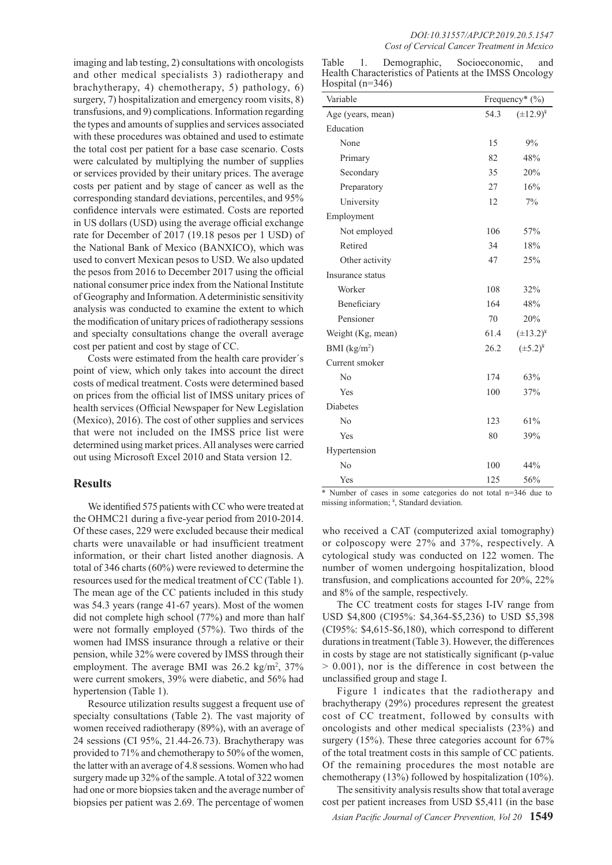imaging and lab testing, 2) consultations with oncologists and other medical specialists 3) radiotherapy and brachytherapy, 4) chemotherapy, 5) pathology, 6) surgery, 7) hospitalization and emergency room visits, 8) transfusions, and 9) complications. Information regarding the types and amounts of supplies and services associated with these procedures was obtained and used to estimate the total cost per patient for a base case scenario. Costs were calculated by multiplying the number of supplies or services provided by their unitary prices. The average costs per patient and by stage of cancer as well as the corresponding standard deviations, percentiles, and 95% confidence intervals were estimated. Costs are reported in US dollars (USD) using the average official exchange rate for December of 2017 (19.18 pesos per 1 USD) of the National Bank of Mexico (BANXICO), which was used to convert Mexican pesos to USD. We also updated the pesos from 2016 to December 2017 using the official national consumer price index from the National Institute of Geography and Information. A deterministic sensitivity analysis was conducted to examine the extent to which the modification of unitary prices of radiotherapy sessions and specialty consultations change the overall average cost per patient and cost by stage of CC.

Costs were estimated from the health care provider´s point of view, which only takes into account the direct costs of medical treatment. Costs were determined based on prices from the official list of IMSS unitary prices of health services (Official Newspaper for New Legislation (Mexico), 2016). The cost of other supplies and services that were not included on the IMSS price list were determined using market prices. All analyses were carried out using Microsoft Excel 2010 and Stata version 12.

#### **Results**

We identified 575 patients with CC who were treated at the OHMC21 during a five-year period from 2010-2014. Of these cases, 229 were excluded because their medical charts were unavailable or had insufficient treatment information, or their chart listed another diagnosis. A total of 346 charts (60%) were reviewed to determine the resources used for the medical treatment of CC (Table 1). The mean age of the CC patients included in this study was 54.3 years (range 41-67 years). Most of the women did not complete high school (77%) and more than half were not formally employed (57%). Two thirds of the women had IMSS insurance through a relative or their pension, while 32% were covered by IMSS through their employment. The average BMI was  $26.2 \text{ kg/m}^2$ ,  $37\%$ were current smokers, 39% were diabetic, and 56% had hypertension (Table 1).

Resource utilization results suggest a frequent use of specialty consultations (Table 2). The vast majority of women received radiotherapy (89%), with an average of 24 sessions (CI 95%, 21.44-26.73). Brachytherapy was provided to 71% and chemotherapy to 50% of the women, the latter with an average of 4.8 sessions. Women who had surgery made up 32% of the sample. A total of 322 women had one or more biopsies taken and the average number of biopsies per patient was 2.69. The percentage of women

| Variable          | Frequency* (%) |                  |
|-------------------|----------------|------------------|
| Age (years, mean) | 54.3           | $(\pm 12.9)^{*}$ |
| Education         |                |                  |
| None              | 15             | 9%               |
| Primary           | 82             | 48%              |
| Secondary         | 35             | 20%              |
| Preparatory       | 27             | 16%              |
| University        | 12             | 7%               |
| Employment        |                |                  |
| Not employed      | 106            | 57%              |
| Retired           | 34             | 18%              |
| Other activity    | 47             | 25%              |
| Insurance status  |                |                  |
| Worker            | 108            | 32%              |
| Beneficiary       | 164            | 48%              |
| Pensioner         | 70             | 20%              |
| Weight (Kg, mean) | 61.4           | $(\pm 13.2)^{*}$ |
| BMI $(kg/m2)$     | 26.2           | $(\pm 5.2)^{*}$  |
| Current smoker    |                |                  |
| N <sub>0</sub>    | 174            | 63%              |
| Yes               | 100            | 37%              |
| Diabetes          |                |                  |
| N <sub>o</sub>    | 123            | 61%              |
| Yes               | 80             | 39%              |
| Hypertension      |                |                  |
| No                | 100            | 44%              |
| Yes               | 125            | 56%              |

\* Number of cases in some categories do not total n=346 due to missing information; ¥ , Standard deviation.

who received a CAT (computerized axial tomography) or colposcopy were 27% and 37%, respectively. A cytological study was conducted on 122 women. The number of women undergoing hospitalization, blood transfusion, and complications accounted for 20%, 22% and 8% of the sample, respectively.

The CC treatment costs for stages I-IV range from USD \$4,800 (CI95%: \$4,364-\$5,236) to USD \$5,398 (CI95%: \$4,615-\$6,180), which correspond to different durations in treatment (Table 3). However, the differences in costs by stage are not statistically significant (p-value > 0.001), nor is the difference in cost between the unclassified group and stage I.

Figure 1 indicates that the radiotherapy and brachytherapy (29%) procedures represent the greatest cost of CC treatment, followed by consults with oncologists and other medical specialists (23%) and surgery (15%). These three categories account for 67% of the total treatment costs in this sample of CC patients. Of the remaining procedures the most notable are chemotherapy (13%) followed by hospitalization (10%).

The sensitivity analysis results show that total average cost per patient increases from USD \$5,411 (in the base

*Asian Pacific Journal of Cancer Prevention, Vol 20* **1549**

| Table                | $\mathbf{1}$ . | Demographic, | Socioeconomic.                                          | and |
|----------------------|----------------|--------------|---------------------------------------------------------|-----|
|                      |                |              | Health Characteristics of Patients at the IMSS Oncology |     |
| Hospital ( $n=346$ ) |                |              |                                                         |     |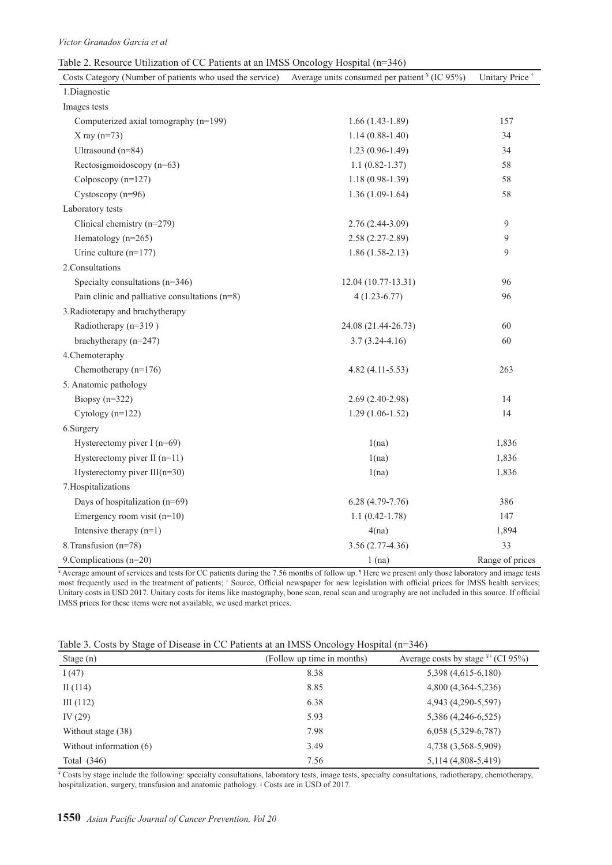#### Table 2. Resource Utilization of CC Patients at an IMSS Oncology Hospital (n=346)

| Costs Category (Number of patients who used the service) | Average units consumed per patient $*(IC 95%)$ | Unitary Price <sup>†</sup> |
|----------------------------------------------------------|------------------------------------------------|----------------------------|
| 1.Diagnostic                                             |                                                |                            |
| Images tests                                             |                                                |                            |
| Computerized axial tomography (n=199)                    | $1.66(1.43-1.89)$                              | 157                        |
| $X$ ray (n=73)                                           | $1.14(0.88-1.40)$                              | 34                         |
| Ultrasound (n=84)                                        | $1.23(0.96-1.49)$                              | 34                         |
| Rectosigmoidoscopy (n=63)                                | $1.1(0.82 - 1.37)$                             | 58                         |
| Colposcopy (n=127)                                       | $1.18(0.98-1.39)$                              | 58                         |
| Cystoscopy $(n=96)$                                      | $1.36(1.09-1.64)$                              | 58                         |
| Laboratory tests                                         |                                                |                            |
| Clinical chemistry (n=279)                               | 2.76 (2.44-3.09)                               | 9                          |
| Hematology (n=265)                                       | $2.58(2.27-2.89)$                              | 9                          |
| Urine culture $(n=177)$                                  | $1.86(1.58-2.13)$                              | 9                          |
| 2.Consultations                                          |                                                |                            |
| Specialty consultations $(n=346)$                        | 12.04 (10.77-13.31)                            | 96                         |
| Pain clinic and palliative consultations $(n=8)$         | $4(1.23-6.77)$                                 | 96                         |
| 3. Radioterapy and brachytherapy                         |                                                |                            |
| Radiotherapy (n=319)                                     | 24.08 (21.44-26.73)                            | 60                         |
| brachytherapy (n=247)                                    | $3.7(3.24 - 4.16)$                             | 60                         |
| 4. Chemoteraphy                                          |                                                |                            |
| Chemotherapy $(n=176)$                                   | $4.82(4.11-5.53)$                              | 263                        |
| 5. Anatomic pathology                                    |                                                |                            |
| Biopsy $(n=322)$                                         | $2.69(2.40-2.98)$                              | 14                         |
| Cytology $(n=122)$                                       | $1.29(1.06-1.52)$                              | 14                         |
| 6.Surgery                                                |                                                |                            |
| Hysterectomy piver $I(n=69)$                             | 1(na)                                          | 1,836                      |
| Hysterectomy piver II $(n=11)$                           | 1(na)                                          | 1,836                      |
| Hysterectomy piver III(n=30)                             | 1(na)                                          | 1,836                      |
| 7. Hospitalizations                                      |                                                |                            |
| Days of hospitalization (n=69)                           | $6.28(4.79-7.76)$                              | 386                        |
| Emergency room visit $(n=10)$                            | $1.1(0.42 - 1.78)$                             | 147                        |
| Intensive therapy $(n=1)$                                | 4(na)                                          | 1,894                      |
| 8. Transfusion (n=78)                                    | $3.56(2.77-4.36)$                              | 33                         |
| 9. Complications (n=20)                                  | $1$ (na)                                       | Range of prices            |

¥ Average amount of services and tests for CC patients during the 7.56 months of follow up. ¶ Here we present only those laboratory and image tests most frequently used in the treatment of patients; † Source, Official newspaper for new legislation with official prices for IMSS health services; Unitary costs in USD 2017. Unitary costs for items like mastography, bone scan, renal scan and urography are not included in this source. If official IMSS prices for these items were not available, we used market prices.

| $\tilde{\phantom{a}}$   | ر ب                        |                                         |
|-------------------------|----------------------------|-----------------------------------------|
| Stage (n)               | (Follow up time in months) | Average costs by stage $^{4+}$ (CI 95%) |
| I(47)                   | 8.38                       | 5,398 (4,615-6,180)                     |
| II $(114)$              | 8.85                       | 4,800 (4,364-5,236)                     |
| III(112)                | 6.38                       | 4,943 (4,290-5,597)                     |
| IV $(29)$               | 5.93                       | 5,386 (4,246-6,525)                     |
| Without stage (38)      | 7.98                       | $6,058(5,329-6,787)$                    |
| Without information (6) | 3.49                       | 4,738 (3,568-5,909)                     |
| Total $(346)$           | 7.56                       | 5,114 (4,808-5,419)                     |

Table 3. Costs by Stage of Disease in CC Patients at an IMSS Oncology Hospital (n=346)

¥ Costs by stage include the following: specialty consultations, laboratory tests, image tests, specialty consultations, radiotherapy, chemotherapy, hospitalization, surgery, transfusion and anatomic pathology. ǂ Costs are in USD of 2017.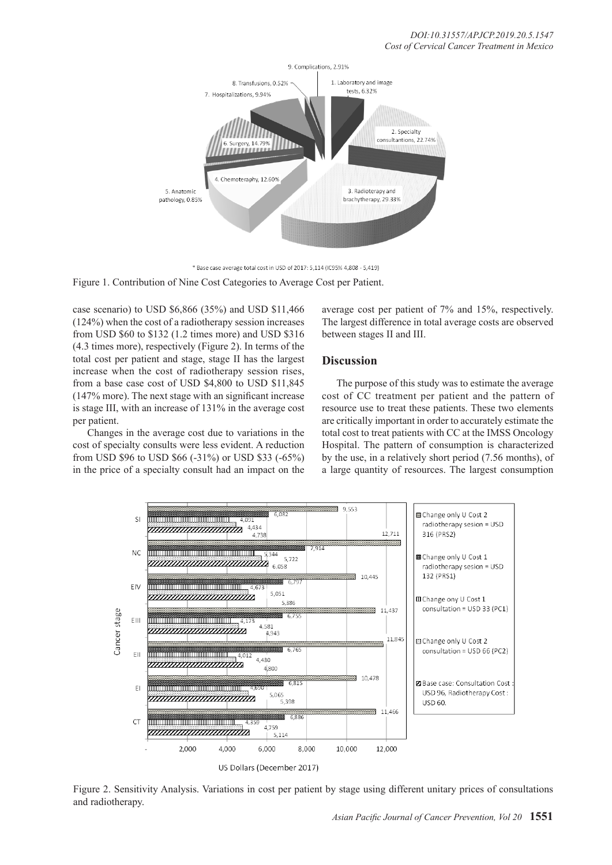

\* Base case average total cost in USD of 2017: 5,114 (IC95% 4,808 - 5,419)

Figure 1. Contribution of Nine Cost Categories to Average Cost per Patient.

case scenario) to USD \$6,866 (35%) and USD \$11,466 (124%) when the cost of a radiotherapy session increases from USD \$60 to \$132 (1.2 times more) and USD \$316 (4.3 times more), respectively (Figure 2). In terms of the total cost per patient and stage, stage II has the largest increase when the cost of radiotherapy session rises, from a base case cost of USD \$4,800 to USD \$11,845 (147% more). The next stage with an significant increase is stage III, with an increase of 131% in the average cost per patient.

Changes in the average cost due to variations in the cost of specialty consults were less evident. A reduction from USD \$96 to USD \$66 (-31%) or USD \$33 (-65%) in the price of a specialty consult had an impact on the average cost per patient of 7% and 15%, respectively. The largest difference in total average costs are observed between stages II and III.

#### **Discussion**

The purpose of this study was to estimate the average cost of CC treatment per patient and the pattern of resource use to treat these patients. These two elements are critically important in order to accurately estimate the total cost to treat patients with CC at the IMSS Oncology Hospital. The pattern of consumption is characterized by the use, in a relatively short period (7.56 months), of a large quantity of resources. The largest consumption



Figure 2. Sensitivity Analysis. Variations in cost per patient by stage using different unitary prices of consultations and radiotherapy.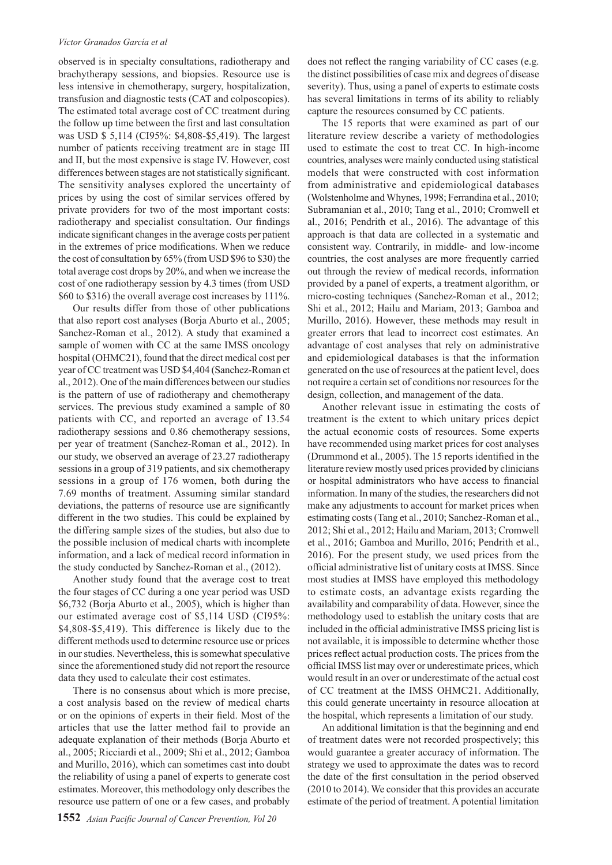#### *Víctor Granados García et al*

observed is in specialty consultations, radiotherapy and brachytherapy sessions, and biopsies. Resource use is less intensive in chemotherapy, surgery, hospitalization, transfusion and diagnostic tests (CAT and colposcopies). The estimated total average cost of CC treatment during the follow up time between the first and last consultation was USD \$ 5,114 (CI95%: \$4,808-\$5,419). The largest number of patients receiving treatment are in stage III and II, but the most expensive is stage IV. However, cost differences between stages are not statistically significant. The sensitivity analyses explored the uncertainty of prices by using the cost of similar services offered by private providers for two of the most important costs: radiotherapy and specialist consultation. Our findings indicate significant changes in the average costs per patient in the extremes of price modifications. When we reduce the cost of consultation by 65% (from USD \$96 to \$30) the total average cost drops by 20%, and when we increase the cost of one radiotherapy session by 4.3 times (from USD \$60 to \$316) the overall average cost increases by 111%.

Our results differ from those of other publications that also report cost analyses (Borja Aburto et al., 2005; Sanchez-Roman et al., 2012). A study that examined a sample of women with CC at the same IMSS oncology hospital (OHMC21), found that the direct medical cost per year of CC treatment was USD \$4,404 (Sanchez-Roman et al., 2012). One of the main differences between our studies is the pattern of use of radiotherapy and chemotherapy services. The previous study examined a sample of 80 patients with CC, and reported an average of 13.54 radiotherapy sessions and 0.86 chemotherapy sessions, per year of treatment (Sanchez-Roman et al., 2012). In our study, we observed an average of 23.27 radiotherapy sessions in a group of 319 patients, and six chemotherapy sessions in a group of 176 women, both during the 7.69 months of treatment. Assuming similar standard deviations, the patterns of resource use are significantly different in the two studies. This could be explained by the differing sample sizes of the studies, but also due to the possible inclusion of medical charts with incomplete information, and a lack of medical record information in the study conducted by Sanchez-Roman et al., (2012).

Another study found that the average cost to treat the four stages of CC during a one year period was USD \$6,732 (Borja Aburto et al., 2005), which is higher than our estimated average cost of \$5,114 USD (CI95%: \$4,808-\$5,419). This difference is likely due to the different methods used to determine resource use or prices in our studies. Nevertheless, this is somewhat speculative since the aforementioned study did not report the resource data they used to calculate their cost estimates.

There is no consensus about which is more precise, a cost analysis based on the review of medical charts or on the opinions of experts in their field. Most of the articles that use the latter method fail to provide an adequate explanation of their methods (Borja Aburto et al., 2005; Ricciardi et al., 2009; Shi et al., 2012; Gamboa and Murillo, 2016), which can sometimes cast into doubt the reliability of using a panel of experts to generate cost estimates. Moreover, this methodology only describes the resource use pattern of one or a few cases, and probably

does not reflect the ranging variability of CC cases (e.g. the distinct possibilities of case mix and degrees of disease severity). Thus, using a panel of experts to estimate costs has several limitations in terms of its ability to reliably capture the resources consumed by CC patients.

The 15 reports that were examined as part of our literature review describe a variety of methodologies used to estimate the cost to treat CC. In high-income countries, analyses were mainly conducted using statistical models that were constructed with cost information from administrative and epidemiological databases (Wolstenholme and Whynes, 1998; Ferrandina et al., 2010; Subramanian et al., 2010; Tang et al., 2010; Cromwell et al., 2016; Pendrith et al., 2016). The advantage of this approach is that data are collected in a systematic and consistent way. Contrarily, in middle- and low-income countries, the cost analyses are more frequently carried out through the review of medical records, information provided by a panel of experts, a treatment algorithm, or micro-costing techniques (Sanchez-Roman et al., 2012; Shi et al., 2012; Hailu and Mariam, 2013; Gamboa and Murillo, 2016). However, these methods may result in greater errors that lead to incorrect cost estimates. An advantage of cost analyses that rely on administrative and epidemiological databases is that the information generated on the use of resources at the patient level, does not require a certain set of conditions nor resources for the design, collection, and management of the data.

Another relevant issue in estimating the costs of treatment is the extent to which unitary prices depict the actual economic costs of resources. Some experts have recommended using market prices for cost analyses (Drummond et al., 2005). The 15 reports identified in the literature review mostly used prices provided by clinicians or hospital administrators who have access to financial information. In many of the studies, the researchers did not make any adjustments to account for market prices when estimating costs (Tang et al., 2010; Sanchez-Roman et al., 2012; Shi et al., 2012; Hailu and Mariam, 2013; Cromwell et al., 2016; Gamboa and Murillo, 2016; Pendrith et al., 2016). For the present study, we used prices from the official administrative list of unitary costs at IMSS. Since most studies at IMSS have employed this methodology to estimate costs, an advantage exists regarding the availability and comparability of data. However, since the methodology used to establish the unitary costs that are included in the official administrative IMSS pricing list is not available, it is impossible to determine whether those prices reflect actual production costs. The prices from the official IMSS list may over or underestimate prices, which would result in an over or underestimate of the actual cost of CC treatment at the IMSS OHMC21. Additionally, this could generate uncertainty in resource allocation at the hospital, which represents a limitation of our study.

An additional limitation is that the beginning and end of treatment dates were not recorded prospectively; this would guarantee a greater accuracy of information. The strategy we used to approximate the dates was to record the date of the first consultation in the period observed (2010 to 2014). We consider that this provides an accurate estimate of the period of treatment. A potential limitation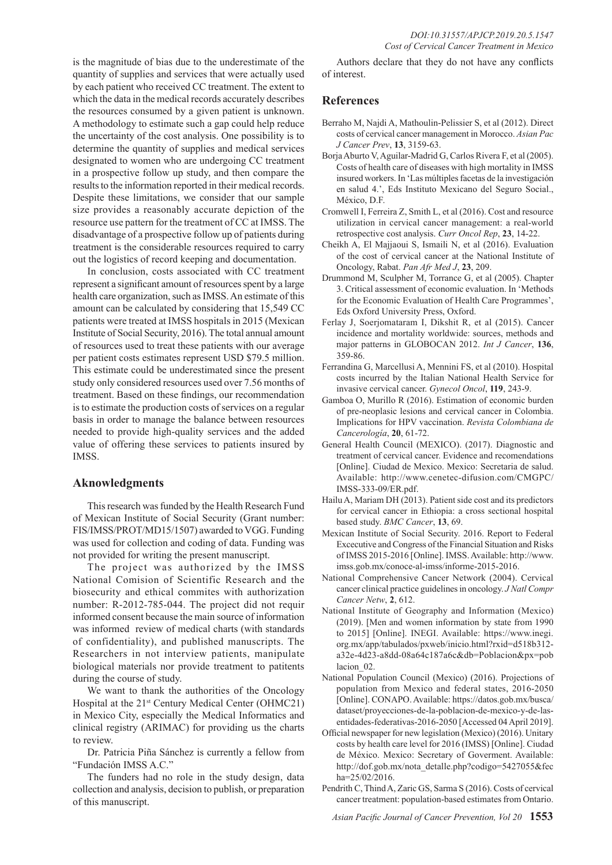is the magnitude of bias due to the underestimate of the quantity of supplies and services that were actually used by each patient who received CC treatment. The extent to which the data in the medical records accurately describes the resources consumed by a given patient is unknown. A methodology to estimate such a gap could help reduce the uncertainty of the cost analysis. One possibility is to determine the quantity of supplies and medical services designated to women who are undergoing CC treatment in a prospective follow up study, and then compare the results to the information reported in their medical records. Despite these limitations, we consider that our sample size provides a reasonably accurate depiction of the resource use pattern for the treatment of CC at IMSS. The disadvantage of a prospective follow up of patients during treatment is the considerable resources required to carry out the logistics of record keeping and documentation.

In conclusion, costs associated with CC treatment represent a significant amount of resources spent by a large health care organization, such as IMSS. An estimate of this amount can be calculated by considering that 15,549 CC patients were treated at IMSS hospitals in 2015 (Mexican Institute of Social Security, 2016). The total annual amount of resources used to treat these patients with our average per patient costs estimates represent USD \$79.5 million. This estimate could be underestimated since the present study only considered resources used over 7.56 months of treatment. Based on these findings, our recommendation is to estimate the production costs of services on a regular basis in order to manage the balance between resources needed to provide high-quality services and the added value of offering these services to patients insured by IMSS.

#### **Aknowledgments**

This research was funded by the Health Research Fund of Mexican Institute of Social Security (Grant number: FIS/IMSS/PROT/MD15/1507) awarded to VGG. Funding was used for collection and coding of data. Funding was not provided for writing the present manuscript.

The project was authorized by the IMSS National Comision of Scientific Research and the biosecurity and ethical commites with authorization number: R-2012-785-044. The project did not requir informed consent because the main source of information was informed review of medical charts (with standards of confidentiality), and published manuscripts. The Researchers in not interview patients, manipulate biological materials nor provide treatment to patitents during the course of study.

We want to thank the authorities of the Oncology Hospital at the 21st Century Medical Center (OHMC21) in Mexico City, especially the Medical Informatics and clinical registry (ARIMAC) for providing us the charts to review.

Dr. Patricia Piña Sánchez is currently a fellow from "Fundación IMSS A.C."

The funders had no role in the study design, data collection and analysis, decision to publish, or preparation of this manuscript.

Authors declare that they do not have any conflicts of interest.

### **References**

- Berraho M, Najdi A, Mathoulin-Pelissier S, et al (2012). Direct costs of cervical cancer management in Morocco. *Asian Pac J Cancer Prev*, **13**, 3159-63.
- Borja Aburto V, Aguilar-Madrid G, Carlos Rivera F, et al (2005). Costs of health care of diseases with high mortality in IMSS insured workers. In 'Las múltiples facetas de la investigación en salud 4.', Eds Instituto Mexicano del Seguro Social., México, D.F.
- Cromwell I, Ferreira Z, Smith L, et al (2016). Cost and resource utilization in cervical cancer management: a real-world retrospective cost analysis. *Curr Oncol Rep*, **23**, 14-22.
- Cheikh A, El Majjaoui S, Ismaili N, et al (2016). Evaluation of the cost of cervical cancer at the National Institute of Oncology, Rabat. *Pan Afr Med J*, **23**, 209.
- Drummond M, Sculpher M, Torrance G, et al (2005). Chapter 3. Critical assessment of economic evaluation. In 'Methods for the Economic Evaluation of Health Care Programmes', Eds Oxford University Press, Oxford.
- Ferlay J, Soerjomataram I, Dikshit R, et al (2015). Cancer incidence and mortality worldwide: sources, methods and major patterns in GLOBOCAN 2012. *Int J Cancer*, **136**, 359-86.
- Ferrandina G, Marcellusi A, Mennini FS, et al (2010). Hospital costs incurred by the Italian National Health Service for invasive cervical cancer. *Gynecol Oncol*, **119**, 243-9.
- Gamboa O, Murillo R (2016). Estimation of economic burden of pre-neoplasic lesions and cervical cancer in Colombia. Implications for HPV vaccination. *Revista Colombiana de Cancerología*, **20**, 61-72.
- General Health Council (MEXICO). (2017). Diagnostic and treatment of cervical cancer. Evidence and recomendations [Online]. Ciudad de Mexico. Mexico: Secretaria de salud. Available: http://www.cenetec-difusion.com/CMGPC/ IMSS-333-09/ER.pdf.
- Hailu A, Mariam DH (2013). Patient side cost and its predictors for cervical cancer in Ethiopia: a cross sectional hospital based study. *BMC Cancer*, **13**, 69.
- Mexican Institute of Social Security. 2016. Report to Federal Excecutive and Congress of the Financial Situation and Risks of IMSS 2015-2016 [Online]. IMSS. Available: http://www. imss.gob.mx/conoce-al-imss/informe-2015-2016.
- National Comprehensive Cancer Network (2004). Cervical cancer clinical practice guidelines in oncology. *J Natl Compr Cancer Netw*, **2**, 612.
- National Institute of Geography and Information (Mexico) (2019). [Men and women information by state from 1990 to 2015] [Online]. INEGI. Available: https://www.inegi. org.mx/app/tabulados/pxweb/inicio.html?rxid=d518b312 a32e-4d23-a8dd-08a64c187a6c&db=Poblacion&px=pob lacion 02.
- National Population Council (Mexico) (2016). Projections of population from Mexico and federal states, 2016-2050 [Online]. CONAPO. Available: https://datos.gob.mx/busca/ dataset/proyecciones-de-la-poblacion-de-mexico-y-de-lasentidades-federativas-2016-2050 [Accessed 04 April 2019].
- Official newspaper for new legislation (Mexico) (2016). Unitary costs by health care level for 2016 (IMSS) [Online]. Ciudad de México. Mexico: Secretary of Goverment. Available: http://dof.gob.mx/nota\_detalle.php?codigo=5427055&fec ha=25/02/2016.
- Pendrith C, Thind A, Zaric GS, Sarma S (2016). Costs of cervical cancer treatment: population-based estimates from Ontario.